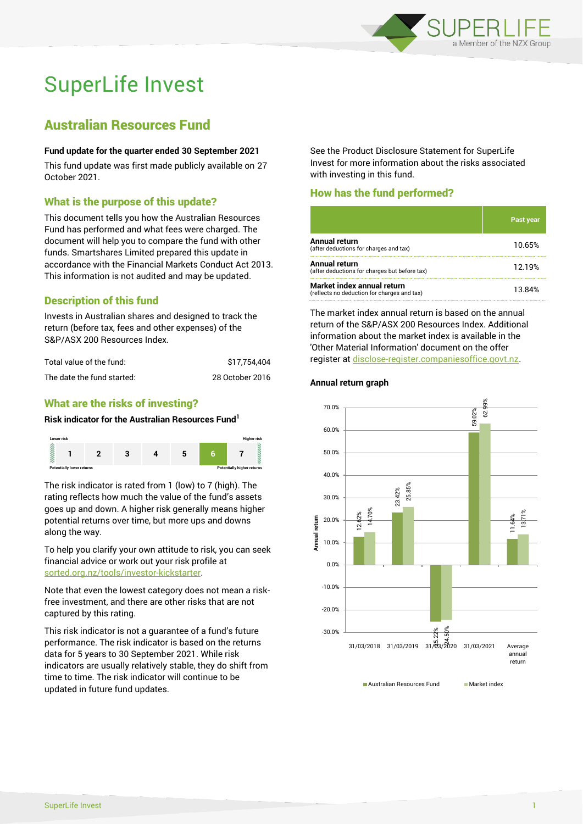

# SuperLife Invest

## Australian Resources Fund

### **Fund update for the quarter ended 30 September 2021**

This fund update was first made publicly available on 27 October 2021.

## What is the purpose of this update?

This document tells you how the Australian Resources Fund has performed and what fees were charged. The document will help you to compare the fund with other funds. Smartshares Limited prepared this update in accordance with the Financial Markets Conduct Act 2013. This information is not audited and may be updated.

## Description of this fund

Invests in Australian shares and designed to track the return (before tax, fees and other expenses) of the S&P/ASX 200 Resources Index.

| Total value of the fund:   | \$17.754.404    |
|----------------------------|-----------------|
| The date the fund started: | 28 October 2016 |

## What are the risks of investing?

#### **Risk indicator for the Australian Resources Fund<sup>1</sup>**



The risk indicator is rated from 1 (low) to 7 (high). The rating reflects how much the value of the fund's assets goes up and down. A higher risk generally means higher potential returns over time, but more ups and downs along the way.

To help you clarify your own attitude to risk, you can seek financial advice or work out your risk profile at [sorted.org.nz/tools/investor-kickstarter.](http://www.sorted.org.nz/tools/investor-kickstarter)

Note that even the lowest category does not mean a riskfree investment, and there are other risks that are not captured by this rating.

This risk indicator is not a guarantee of a fund's future performance. The risk indicator is based on the returns data for 5 years to 30 September 2021. While risk indicators are usually relatively stable, they do shift from time to time. The risk indicator will continue to be updated in future fund updates.

See the Product Disclosure Statement for SuperLife Invest for more information about the risks associated with investing in this fund.

## How has the fund performed?

|                                                                           | Past year |
|---------------------------------------------------------------------------|-----------|
| Annual return<br>(after deductions for charges and tax)                   | 10.65%    |
| Annual return<br>(after deductions for charges but before tax)            | 12.19%    |
| Market index annual return<br>(reflects no deduction for charges and tax) | 13.84%    |

The market index annual return is based on the annual return of the S&P/ASX 200 Resources Index. Additional information about the market index is available in the 'Other Material Information' document on the offer register a[t disclose-register.companiesoffice.govt.nz.](http://www.disclose-register.companiesoffice.govt.nz/)

### **Annual return graph**



Australian Resources Fund Market index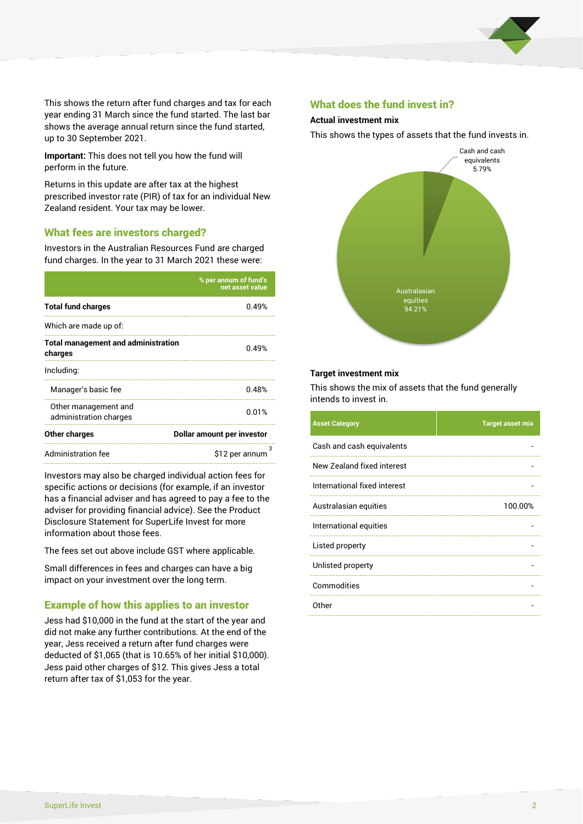

This shows the return after fund charges and tax for each year ending 31 March since the fund started. The last bar shows the average annual return since the fund started, up to 30 September 2021.

**Important:** This does not tell you how the fund will perform in the future.

Returns in this update are after tax at the highest prescribed investor rate (PIR) of tax for an individual New Zealand resident. Your tax may be lower.

## What fees are investors charged?

Investors in the Australian Resources Fund are charged fund charges. In the year to 31 March 2021 these were:

|                                                       | % per annum of fund's<br>net asset value |  |
|-------------------------------------------------------|------------------------------------------|--|
| <b>Total fund charges</b>                             | 0.49%                                    |  |
| Which are made up of:                                 |                                          |  |
| <b>Total management and administration</b><br>charges | በ 49%                                    |  |
| Including:                                            |                                          |  |
| Manager's basic fee                                   | 0.48%                                    |  |
| Other management and<br>administration charges        | 0.01%                                    |  |
| Other charges                                         | Dollar amount per investor               |  |
| Administration fee                                    | з<br>\$12 per annum                      |  |

Investors may also be charged individual action fees for specific actions or decisions (for example, if an investor has a financial adviser and has agreed to pay a fee to the adviser for providing financial advice). See the Product Disclosure Statement for SuperLife Invest for more information about those fees.

The fees set out above include GST where applicable.

Small differences in fees and charges can have a big impact on your investment over the long term.

## Example of how this applies to an investor

Jess had \$10,000 in the fund at the start of the year and did not make any further contributions. At the end of the year, Jess received a return after fund charges were deducted of \$1,065 (that is 10.65% of her initial \$10,000). Jess paid other charges of \$12. This gives Jess a total return after tax of \$1,053 for the year.

### What does the fund invest in?

#### **Actual investment mix**

This shows the types of assets that the fund invests in.



#### **Target investment mix**

This shows the mix of assets that the fund generally intends to invest in.

| <b>Asset Category</b>        | <b>Target asset mix</b> |
|------------------------------|-------------------------|
| Cash and cash equivalents    |                         |
| New Zealand fixed interest   |                         |
| International fixed interest |                         |
| Australasian equities        | 100.00%                 |
| International equities       |                         |
| Listed property              |                         |
| Unlisted property            |                         |
| Commodities                  |                         |
| Other                        |                         |